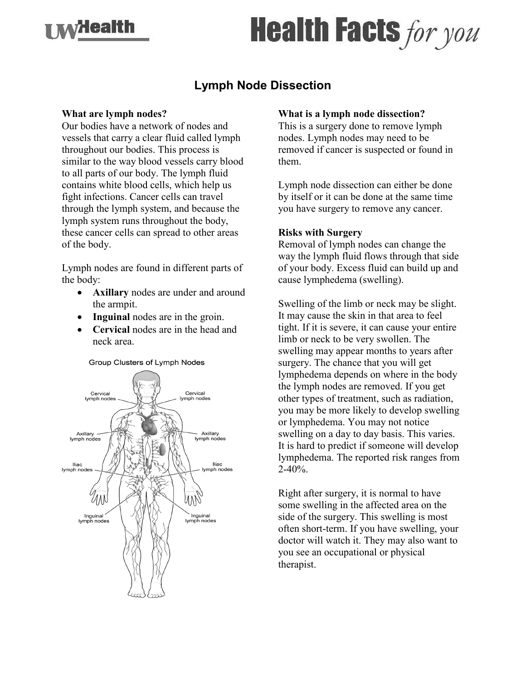

# **Health Facts for you**

## **Lymph Node Dissection**

#### **What are lymph nodes?**

Our bodies have a network of nodes and vessels that carry a clear fluid called lymph throughout our bodies. This process is similar to the way blood vessels carry blood to all parts of our body. The lymph fluid contains white blood cells, which help us fight infections. Cancer cells can travel through the lymph system, and because the lymph system runs throughout the body, these cancer cells can spread to other areas of the body.

Lymph nodes are found in different parts of the body:

- **Axillary** nodes are under and around the armpit.
- **Inguinal** nodes are in the groin.
- **Cervical** nodes are in the head and neck area.

#### Group Clusters of Lymph Nodes



#### **What is a lymph node dissection?**

This is a surgery done to remove lymph nodes. Lymph nodes may need to be removed if cancer is suspected or found in them.

Lymph node dissection can either be done by itself or it can be done at the same time you have surgery to remove any cancer.

#### **Risks with Surgery**

Removal of lymph nodes can change the way the lymph fluid flows through that side of your body. Excess fluid can build up and cause lymphedema (swelling).

Swelling of the limb or neck may be slight. It may cause the skin in that area to feel tight. If it is severe, it can cause your entire limb or neck to be very swollen. The swelling may appear months to years after surgery. The chance that you will get lymphedema depends on where in the body the lymph nodes are removed. If you get other types of treatment, such as radiation, you may be more likely to develop swelling or lymphedema. You may not notice swelling on a day to day basis. This varies. It is hard to predict if someone will develop lymphedema. The reported risk ranges from  $2 - 40\%$ .

Right after surgery, it is normal to have some swelling in the affected area on the side of the surgery. This swelling is most often short-term. If you have swelling, your doctor will watch it. They may also want to you see an occupational or physical therapist.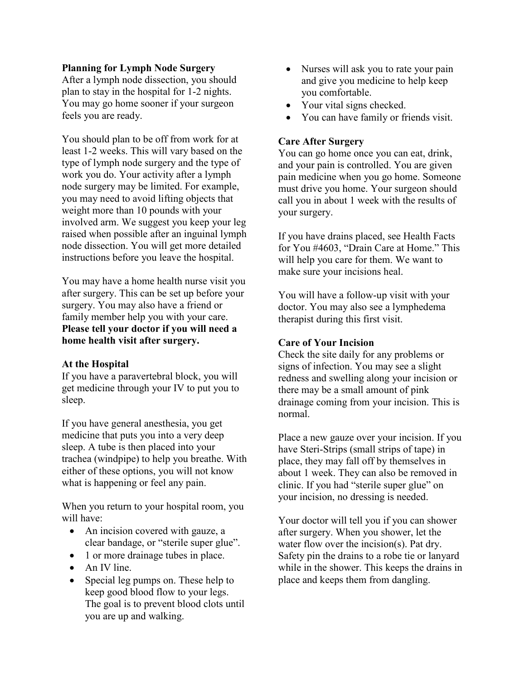#### **Planning for Lymph Node Surgery**

After a lymph node dissection, you should plan to stay in the hospital for 1-2 nights. You may go home sooner if your surgeon feels you are ready.

You should plan to be off from work for at least 1-2 weeks. This will vary based on the type of lymph node surgery and the type of work you do. Your activity after a lymph node surgery may be limited. For example, you may need to avoid lifting objects that weight more than 10 pounds with your involved arm. We suggest you keep your leg raised when possible after an inguinal lymph node dissection. You will get more detailed instructions before you leave the hospital.

You may have a home health nurse visit you after surgery. This can be set up before your surgery. You may also have a friend or family member help you with your care. **Please tell your doctor if you will need a home health visit after surgery.**

#### **At the Hospital**

If you have a paravertebral block, you will get medicine through your IV to put you to sleep.

If you have general anesthesia, you get medicine that puts you into a very deep sleep. A tube is then placed into your trachea (windpipe) to help you breathe. With either of these options, you will not know what is happening or feel any pain.

When you return to your hospital room, you will have:

- An incision covered with gauze, a clear bandage, or "sterile super glue".
- 1 or more drainage tubes in place.
- An IV line.
- Special leg pumps on. These help to keep good blood flow to your legs. The goal is to prevent blood clots until you are up and walking.
- Nurses will ask you to rate your pain and give you medicine to help keep you comfortable.
- Your vital signs checked.
- You can have family or friends visit.

#### **Care After Surgery**

You can go home once you can eat, drink, and your pain is controlled. You are given pain medicine when you go home. Someone must drive you home. Your surgeon should call you in about 1 week with the results of your surgery.

If you have drains placed, see Health Facts for You #4603, "Drain Care at Home." This will help you care for them. We want to make sure your incisions heal.

You will have a follow-up visit with your doctor. You may also see a lymphedema therapist during this first visit.

#### **Care of Your Incision**

Check the site daily for any problems or signs of infection. You may see a slight redness and swelling along your incision or there may be a small amount of pink drainage coming from your incision. This is normal.

Place a new gauze over your incision. If you have Steri-Strips (small strips of tape) in place, they may fall off by themselves in about 1 week. They can also be removed in clinic. If you had "sterile super glue" on your incision, no dressing is needed.

Your doctor will tell you if you can shower after surgery. When you shower, let the water flow over the incision(s). Pat dry. Safety pin the drains to a robe tie or lanyard while in the shower. This keeps the drains in place and keeps them from dangling.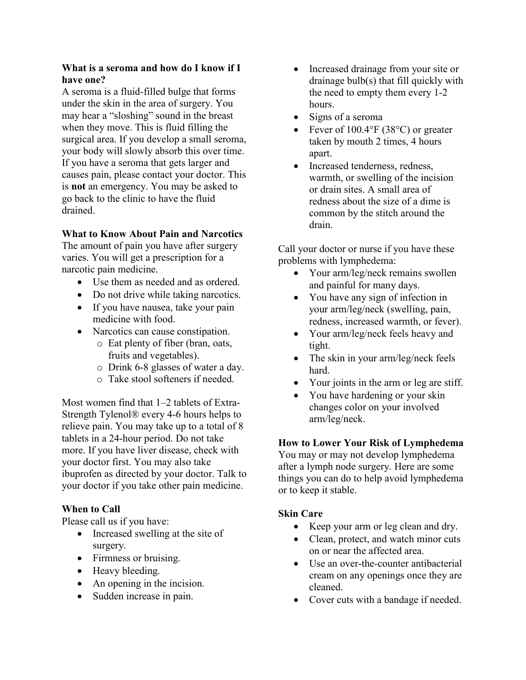#### **What is a seroma and how do I know if I have one?**

A seroma is a fluid-filled bulge that forms under the skin in the area of surgery. You may hear a "sloshing" sound in the breast when they move. This is fluid filling the surgical area. If you develop a small seroma, your body will slowly absorb this over time. If you have a seroma that gets larger and causes pain, please contact your doctor. This is **not** an emergency. You may be asked to go back to the clinic to have the fluid drained.

### **What to Know About Pain and Narcotics**

The amount of pain you have after surgery varies. You will get a prescription for a narcotic pain medicine.

- Use them as needed and as ordered.
- Do not drive while taking narcotics.
- If you have nausea, take your pain medicine with food.
- Narcotics can cause constipation.
	- o Eat plenty of fiber (bran, oats, fruits and vegetables).
	- o Drink 6-8 glasses of water a day.
	- o Take stool softeners if needed.

Most women find that 1–2 tablets of Extra-Strength Tylenol® every 4-6 hours helps to relieve pain. You may take up to a total of 8 tablets in a 24-hour period. Do not take more. If you have liver disease, check with your doctor first. You may also take ibuprofen as directed by your doctor. Talk to your doctor if you take other pain medicine.

#### **When to Call**

Please call us if you have:

- Increased swelling at the site of surgery.
- Firmness or bruising.
- Heavy bleeding.
- An opening in the incision.
- Sudden increase in pain.
- Increased drainage from your site or drainage bulb(s) that fill quickly with the need to empty them every 1-2 hours.
- Signs of a seroma
- Fever of  $100.4\textdegree F$  (38 $\textdegree C$ ) or greater taken by mouth 2 times, 4 hours apart.
- Increased tenderness, redness, warmth, or swelling of the incision or drain sites. A small area of redness about the size of a dime is common by the stitch around the drain.

Call your doctor or nurse if you have these problems with lymphedema:

- Your arm/leg/neck remains swollen and painful for many days.
- You have any sign of infection in your arm/leg/neck (swelling, pain, redness, increased warmth, or fever).
- Your arm/leg/neck feels heavy and tight.
- The skin in your arm/leg/neck feels hard.
- Your joints in the arm or leg are stiff.
- You have hardening or your skin changes color on your involved arm/leg/neck.

#### **How to Lower Your Risk of Lymphedema**

You may or may not develop lymphedema after a lymph node surgery. Here are some things you can do to help avoid lymphedema or to keep it stable.

#### **Skin Care**

- Keep your arm or leg clean and dry.
- Clean, protect, and watch minor cuts on or near the affected area.
- Use an over-the-counter antibacterial cream on any openings once they are cleaned.
- Cover cuts with a bandage if needed.